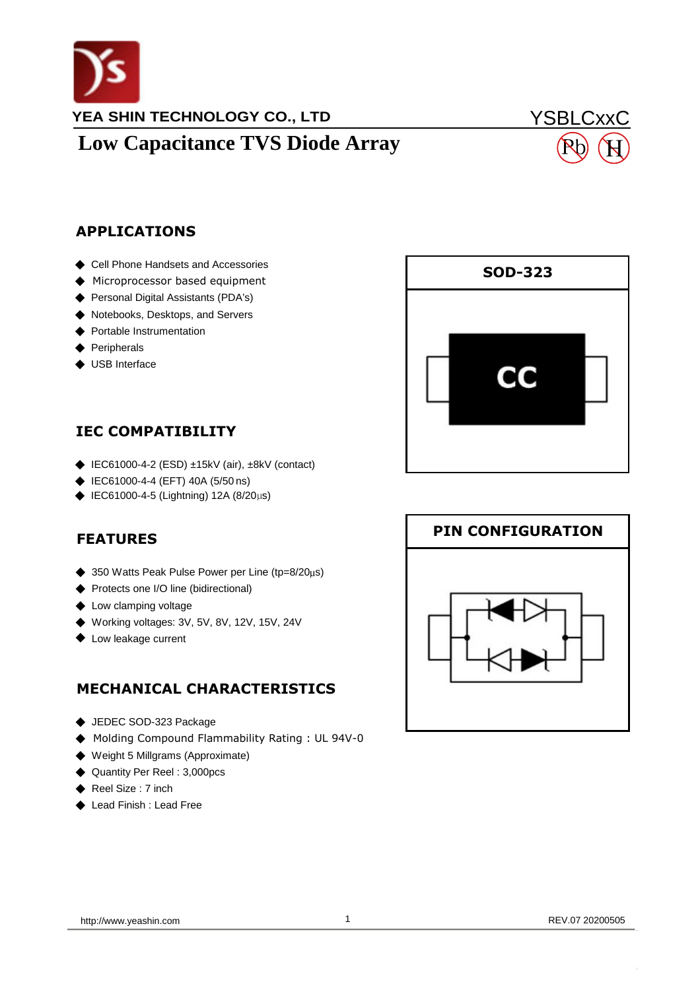

# **Low Capacitance TVS Diode Array**

## YSBLCxxC H

#### **APPLICATIONS**

- ◆ Cell Phone Handsets and Accessories
- ◆ Microprocessor based equipment
- ◆ Personal Digital Assistants (PDA's)
- ◆ Notebooks, Desktops, and Servers
- ◆ Portable Instrumentation
- ◆ Peripherals
- ◆ USB Interface

#### **IEC COMPATIBILITY**

- ◆ IEC61000-4-2 (ESD) ±15kV (air), ±8kV (contact)
- ◆ IEC61000-4-4 (EFT) 40A (5/50 ns)
- ◆ IEC61000-4-5 (Lightning) 12A (8/20 $\mu$ s)

### **FEATURES FEATURES**

- ◆ 350 Watts Peak Pulse Power per Line (tp=8/20µs)
- ◆ 350 Protects one I/O line (bidirectional)
- ◆ Low clamping voltage
- ◆ Working voltages: 3V, 5V, 8V, 12V, 15V, 24V ◆ Working voltages: 3V, 5V, 8V, 12V, 15V, 24V
- ◆ Low leakage current

### **MECHANICAL CHARACTERISTICS MECHANICAL CHARACTERISTICS**

- ◆ JEDEC SOD-323 Package
- ◆<br>◆ Molding Compound Flammability Rating : UL 94V-0
- ◆ Weight 5 Millgrams (Approximate)
- ◆ Quantity Per Reel : 3,000pcs
- $\leftrightarrow$  Reel Size : 7 inch
- ◆ Lead Finish : Lead Free  $\bullet$  Lead Finish : Lead Finish : Lead Finish : Lead Finish : Lead Finish : Lead Finish : Lead Finish : Lead Finish : Lead Finish : Lead Finish : Lead Finish : Lead Finish : Lead Finish : Lead Finish : Lead Finish : Lead F



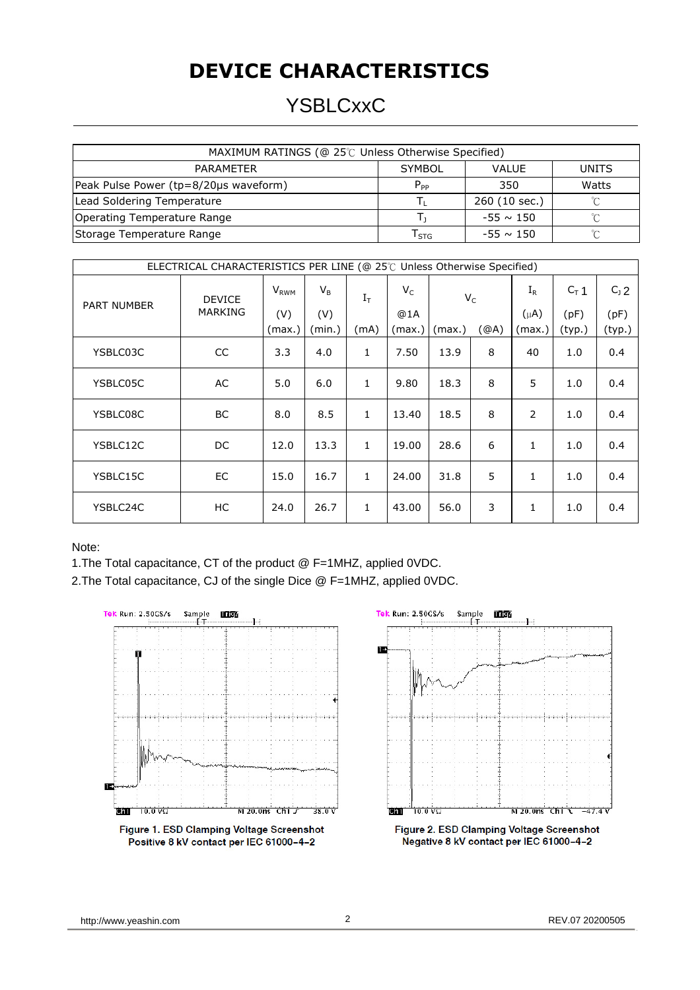## **DEVICE CHARACTERISTICS**

## YSBLCxxC

| MAXIMUM RATINGS (@ 25℃ Unless Otherwise Specified) |                  |                |        |  |  |  |
|----------------------------------------------------|------------------|----------------|--------|--|--|--|
| <b>PARAMETER</b>                                   | <b>SYMBOL</b>    | <b>VALUE</b>   | UNITS  |  |  |  |
| Peak Pulse Power (tp=8/20µs waveform)              | $P_{PP}$         | 350            | Watts  |  |  |  |
| Lead Soldering Temperature                         |                  | 260 (10 sec.)  | $\sim$ |  |  |  |
| Operating Temperature Range                        |                  | $-55 \sim 150$ |        |  |  |  |
| Storage Temperature Range                          | $I_{\text{STG}}$ | $-55 \sim 150$ | $\sim$ |  |  |  |

| ELECTRICAL CHARACTERISTICS PER LINE (@ 25℃ Unless Otherwise Specified) |                          |                         |        |              |        |        |      |              |         |         |
|------------------------------------------------------------------------|--------------------------|-------------------------|--------|--------------|--------|--------|------|--------------|---------|---------|
| PART NUMBER                                                            | <b>DEVICE</b><br>MARKING | <b>V</b> <sub>RWM</sub> | $V_B$  | $I_T$        | $V_C$  | $V_C$  |      | $I_R$        | $C_T$ 1 | $C_1$ 2 |
|                                                                        |                          | (V)                     | (V)    |              | @1A    |        |      | $(\mu A)$    | (pF)    | (pF)    |
|                                                                        |                          | (max.)                  | (min.) | (mA)         | (max.) | (max.) | (②A) | (max.)       | (typ.)  | (typ.)  |
| YSBLC03C                                                               | <b>CC</b>                | 3.3                     | 4.0    | $\mathbf{1}$ | 7.50   | 13.9   | 8    | 40           | 1.0     | 0.4     |
| YSBLC05C                                                               | AC                       | 5.0                     | 6.0    | $\mathbf{1}$ | 9.80   | 18.3   | 8    | 5            | 1.0     | 0.4     |
| YSBLC08C                                                               | <b>BC</b>                | 8.0                     | 8.5    | $\mathbf{1}$ | 13.40  | 18.5   | 8    | 2            | 1.0     | 0.4     |
| YSBLC12C                                                               | DC                       | 12.0                    | 13.3   | $\mathbf{1}$ | 19.00  | 28.6   | 6    | $\mathbf{1}$ | 1.0     | 0.4     |
| YSBLC15C                                                               | EC                       | 15.0                    | 16.7   | $\mathbf{1}$ | 24.00  | 31.8   | 5    | $\mathbf{1}$ | 1.0     | 0.4     |
| YSBLC24C                                                               | НC                       | 24.0                    | 26.7   | $\mathbf{1}$ | 43.00  | 56.0   | 3    | $\mathbf{1}$ | 1.0     | 0.4     |

Note:

1.The Total capacitance, CT of the product @ F=1MHZ, applied 0VDC.

2.The Total capacitance, CJ of the single Dice @ F=1MHZ, applied 0VDC.



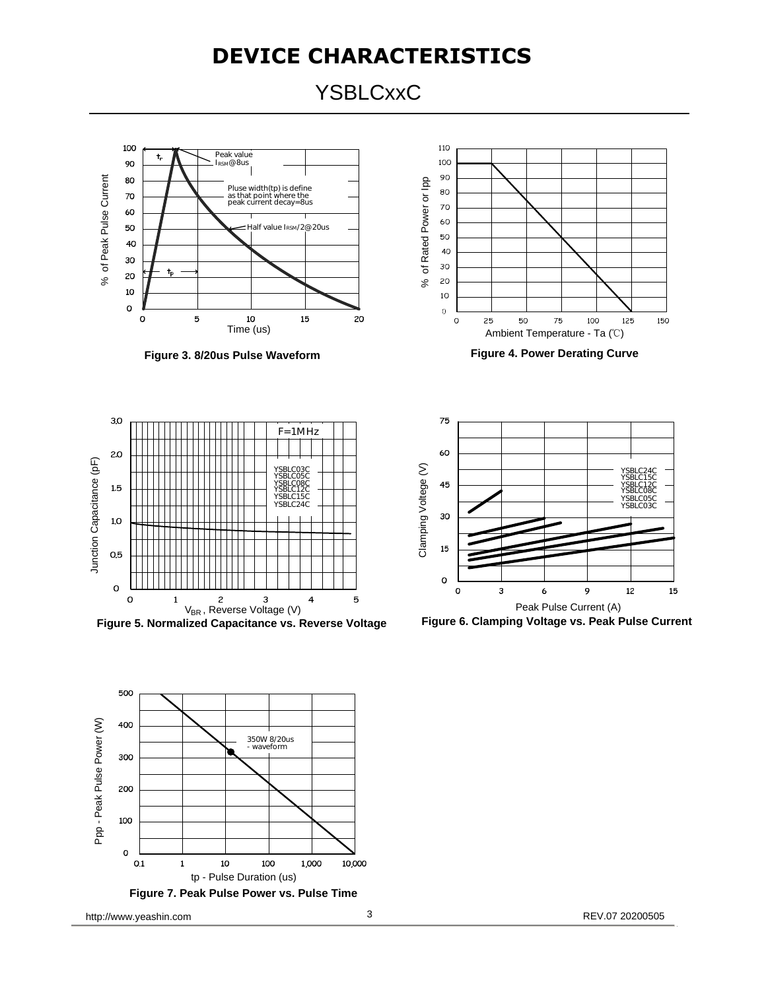### **DEVICE CHARACTERISTICS**

**YSBLCxxC** 



**Figure 3. 8 /20us Pulse Waveform**



**Figure 4. Power Derating Curve**



**Figure 5. Normalized Capacitance vs. Reverse Voltage**





**Figure 6. Clamping Voltage vs. Peak Pulse Current**

http://www.yeashin.com 3 8 REV.07 20200505